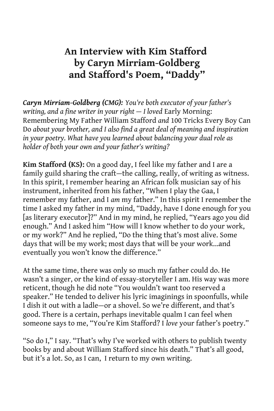## **An Interview with Kim Stafford by Caryn Mirriam-Goldberg and Stafford's Poem, "Daddy"**

*Caryn Mirriam-Goldberg (CMG): You're both executor of your father's writing, and a fine writer in your right – I loved Early Morning:* Remembering My Father William Stafford *and* 100 Tricks Every Boy Can Do *about your brother, and I also find a great deal of meaning and inspiration in your poetry. What have you learned about balancing your dual role as holder of both your own and your father's writing?*

**Kim Stafford (KS):** On a good day, I feel like my father and I are a family guild sharing the craft—the calling, really, of writing as witness. In this spirit, I remember hearing an African folk musician say of his instrument, inherited from his father, "When I play the Gaa, I remember my father, and I *am* my father." In this spirit I remember the time I asked my father in my mind, "Daddy, have I done enough for you [as literary executor]?" And in my mind, he replied, "Years ago you did enough." And I asked him "How will I know whether to do your work, or my work?" And he replied, "Do the thing that's most alive. Some days that will be my work; most days that will be your work...and eventually you won't know the difference."

At the same time, there was only so much my father could do. He wasn't a singer, or the kind of essay-storyteller I am. His way was more reticent, though he did note "You wouldn't want too reserved a speaker." He tended to deliver his lyric imaginings in spoonfulls, while I dish it out with a ladle—or a shovel. So we're different, and that's good. There is a certain, perhaps inevitable qualm I can feel when someone says to me, "You're Kim Stafford? I *love* your father's poetry."

"So do I," I say. "That's why I've worked with others to publish twenty books by and about William Stafford since his death." That's all good, but it's a lot. So, as I can, I return to my own writing.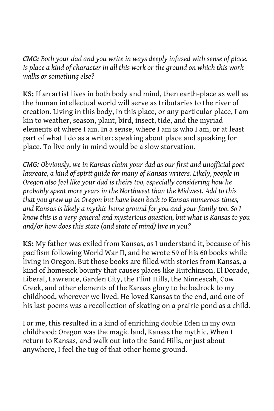*CMG: Both your dad and you write in ways deeply infused with sense of place. Is place a kind of character in all this work or the ground on which this work walks or something else?*

**KS:** If an artist lives in both body and mind, then earth-place as well as the human intellectual world will serve as tributaries to the river of creation. Living in this body, in this place, or any particular place, I am kin to weather, season, plant, bird, insect, tide, and the myriad elements of where I am. In a sense, where I am is who I am, or at least part of what I do as a writer: speaking about place and speaking for place. To live only in mind would be a slow starvation.

*CMG: Obviously, we in Kansas claim your dad as our first and unofficial poet*  laureate, a kind of spirit quide for many of Kansas writers. Likely, people in *Oregon also feel like your dad is theirs too, especially considering how he probably spent more years in the Northwest than the Midwest. Add to this that you grew up in Oregon but have been back to Kansas numerous times, and Kansas is likely a mythic home ground for you and your family too. So I know this is a very general and mysterious question, but what is Kansas to you and/or how does this state (and state of mind) live in you?*

**KS:** My father was exiled from Kansas, as I understand it, because of his pacifism following World War II, and he wrote 59 of his 60 books while living in Oregon. But those books are filled with stories from Kansas, a kind of homesick bounty that causes places like Hutchinson, El Dorado, Liberal, Lawrence, Garden City, the Flint Hills, the Ninnescah, Cow Creek, and other elements of the Kansas glory to be bedrock to my childhood, wherever we lived. He loved Kansas to the end, and one of his last poems was a recollection of skating on a prairie pond as a child.

For me, this resulted in a kind of enriching double Eden in my own childhood: Oregon was the magic land, Kansas the mythic. When I return to Kansas, and walk out into the Sand Hills, or just about anywhere, I feel the tug of that other home ground.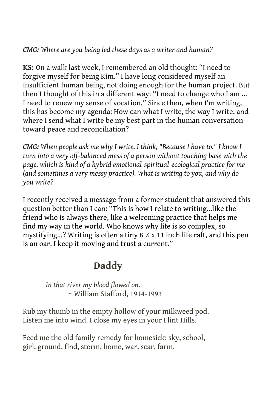## *CMG: Where are you being led these days as a writer and human?*

**KS:** On a walk last week, I remembered an old thought: "I need to forgive myself for being Kim." I have long considered myself an insufficient human being, not doing enough for the human project. But then I thought of this in a different way: "I need to change who I am ... I need to renew my sense of vocation." Since then, when I'm writing, this has become my agenda: How can what I write, the way I write, and where I send what I write be my best part in the human conversation toward peace and reconciliation?

*CMG: When people ask me why I write, I think, "Because I have to." I know I turn into a very off-balanced mess of a person without touching base with the page, which is kind of a hybrid emotional-spiritual-ecological practice for me (and sometimes a very messy practice). What is writing to you, and why do you write?*

I recently received a message from a former student that answered this question better than I can: "This is how I relate to writing...like the friend who is always there, like a welcoming practice that helps me find my way in the world. Who knows why life is so complex, so mystifying...? Writing is often a tiny  $8 \frac{1}{2}$  x 11 inch life raft, and this pen is an oar. I keep it moving and trust a current."

## **Daddy**

*In that river my blood flowed on.* ~ William Stafford, 1914-1993

Rub my thumb in the empty hollow of your milkweed pod. Listen me into wind. I close my eyes in your Flint Hills.

Feed me the old family remedy for homesick: sky, school, girl, ground, find, storm, home, war, scar, farm.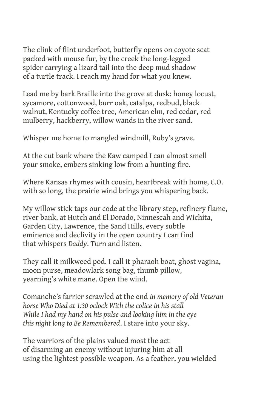The clink of flint underfoot, butterfly opens on coyote scat packed with mouse fur, by the creek the long-legged spider carrying a lizard tail into the deep mud shadow of a turtle track. I reach my hand for what you knew.

Lead me by bark Braille into the grove at dusk: honey locust, sycamore, cottonwood, burr oak, catalpa, redbud, black walnut, Kentucky coffee tree, American elm, red cedar, red mulberry, hackberry, willow wands in the river sand.

Whisper me home to mangled windmill, Ruby's grave.

At the cut bank where the Kaw camped I can almost smell your smoke, embers sinking low from a hunting fire.

Where Kansas rhymes with cousin, heartbreak with home, C.O. with so long, the prairie wind brings you whispering back.

My willow stick taps our code at the library step, refinery flame, river bank, at Hutch and El Dorado, Ninnescah and Wichita, Garden City, Lawrence, the Sand Hills, every subtle eminence and declivity in the open country I can find that whispers *Daddy*. Turn and listen.

They call it milkweed pod. I call it pharaoh boat, ghost vagina, moon purse, meadowlark song bag, thumb pillow, yearning's white mane. Open the wind.

Comanche's farrier scrawled at the end *in memory of old Veteran horse Who Died at 1:30 oclock With the colice in his stall While I had my hand on his pulse and looking him in the eye this night long to Be Remembered*. I stare into your sky.

The warriors of the plains valued most the act of disarming an enemy without injuring him at all using the lightest possible weapon. As a feather, you wielded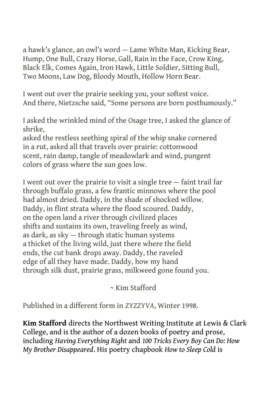a hawk's glance, an owl's word — Lame White Man, Kicking Bear, Hump, One Bull, Crazy Horse, Gall, Rain in the Face, Crow King, Black Elk, Comes Again, Iron Hawk, Little Soldier, Sitting Bull, Two Moons, Law Dog, Bloody Mouth, Hollow Horn Bear.

I went out over the prairie seeking you, your softest voice. And there, Nietzsche said, "Some persons are born posthumously."

I asked the wrinkled mind of the Osage tree, I asked the glance of shrike,

asked the restless seething spiral of the whip snake cornered in a rut, asked all that travels over prairie: cottonwood scent, rain damp, tangle of meadowlark and wind, pungent colors of grass where the sun goes low.

I went out over the prairie to visit a single tree — faint trail far through buffalo grass, a few frantic minnows where the pool had almost dried. Daddy, in the shade of shocked willow. Daddy, in flint strata where the flood scoured. Daddy, on the open land a river through civilized places shifts and sustains its own, traveling freely as wind, as dark, as sky — through static human systems a thicket of the living wild, just there where the field ends, the cut bank drops away. Daddy, the raveled edge of all they have made. Daddy, how my hand through silk dust, prairie grass, milkweed gone found you.

~ Kim Stafford

Published in a different form in *ZYZZYVA*, Winter 1998.

**Kim Stafford** directs the Northwest Writing Institute at Lewis & Clark College, and is the author of a dozen books of poetry and prose, including *Having Everything Right* and *100 Tricks Every Boy Can Do: How My Brother Disappeared*. His poetry chapbook *How to Sleep Cold* is